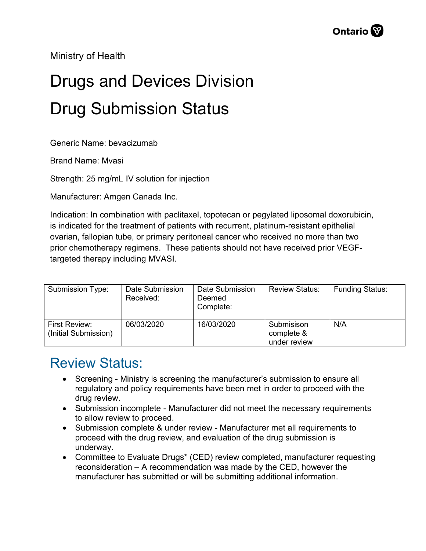Ministry of Health

## Drugs and Devices Division Drug Submission Status

Generic Name: bevacizumab

Brand Name: Mvasi

Strength: 25 mg/mL IV solution for injection

Manufacturer: Amgen Canada Inc.

Indication: In combination with paclitaxel, topotecan or pegylated liposomal doxorubicin, is indicated for the treatment of patients with recurrent, platinum-resistant epithelial ovarian, fallopian tube, or primary peritoneal cancer who received no more than two prior chemotherapy regimens. These patients should not have received prior VEGFtargeted therapy including MVASI.

| <b>Submission Type:</b>               | Date Submission<br>Received: | Date Submission<br>Deemed<br>Complete: | <b>Review Status:</b>                    | <b>Funding Status:</b> |
|---------------------------------------|------------------------------|----------------------------------------|------------------------------------------|------------------------|
| First Review:<br>(Initial Submission) | 06/03/2020                   | 16/03/2020                             | Submisison<br>complete &<br>under review | N/A                    |

## Review Status:

- Screening Ministry is screening the manufacturer's submission to ensure all regulatory and policy requirements have been met in order to proceed with the drug review.
- Submission incomplete Manufacturer did not meet the necessary requirements to allow review to proceed.
- Submission complete & under review Manufacturer met all requirements to proceed with the drug review, and evaluation of the drug submission is underway.
- Committee to Evaluate Drugs\* (CED) review completed, manufacturer requesting reconsideration – A recommendation was made by the CED, however the manufacturer has submitted or will be submitting additional information.